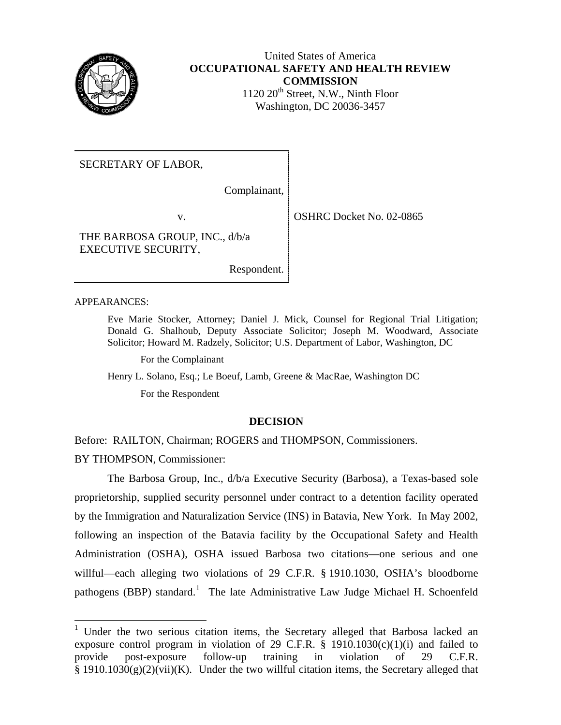

SECRETARY OF LABOR,

Complainant,

v. OSHRC Docket No. 02-0865

THE BARBOSA GROUP, INC., d/b/a EXECUTIVE SECURITY,

Respondent.

## APPEARANCES:

Eve Marie Stocker, Attorney; Daniel J. Mick, Counsel for Regional Trial Litigation; Donald G. Shalhoub, Deputy Associate Solicitor; Joseph M. Woodward, Associate Solicitor; Howard M. Radzely, Solicitor; U.S. Department of Labor, Washington, DC

For the Complainant

Henry L. Solano, Esq.; Le Boeuf, Lamb, Greene & MacRae, Washington DC

For the Respondent

# **DECISION**

Before: RAILTON, Chairman; ROGERS and THOMPSON, Commissioners.

BY THOMPSON, Commissioner:

The Barbosa Group, Inc., d/b/a Executive Security (Barbosa), a Texas-based sole proprietorship, supplied security personnel under contract to a detention facility operated by the Immigration and Naturalization Service (INS) in Batavia, New York. In May 2002, following an inspection of the Batavia facility by the Occupational Safety and Health Administration (OSHA), OSHA issued Barbosa two citations—one serious and one willful—each alleging two violations of 29 C.F.R. § 1910.1030, OSHA's bloodborne pathogens (BBP) standard.<sup>[1](#page-0-0)</sup> The late Administrative Law Judge Michael H. Schoenfeld

<span id="page-0-0"></span><sup>&</sup>lt;sup>1</sup> Under the two serious citation items, the Secretary alleged that Barbosa lacked an exposure control program in violation of 29 C.F.R.  $\S$  1910.1030(c)(1)(i) and failed to provide post-exposure follow-up training in violation of 29 C.F.R.  $\S$  1910.1030(g)(2)(vii)(K). Under the two willful citation items, the Secretary alleged that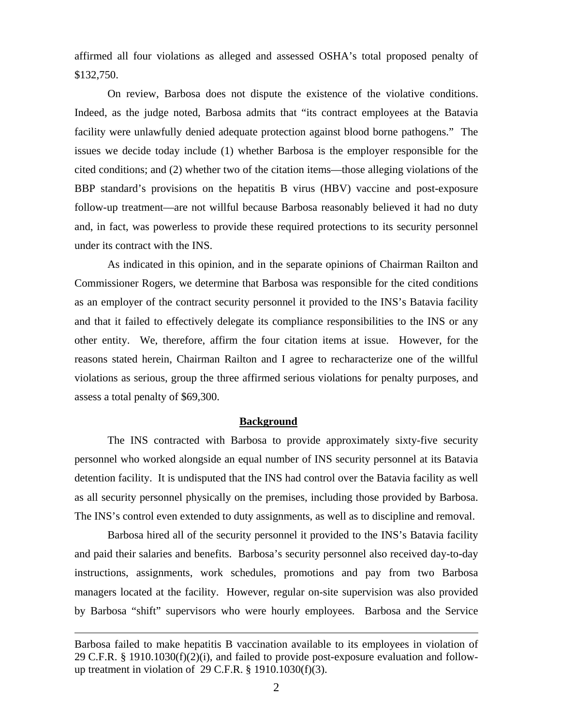affirmed all four violations as alleged and assessed OSHA's total proposed penalty of \$132,750.

On review, Barbosa does not dispute the existence of the violative conditions. Indeed, as the judge noted, Barbosa admits that "its contract employees at the Batavia facility were unlawfully denied adequate protection against blood borne pathogens." The issues we decide today include (1) whether Barbosa is the employer responsible for the cited conditions; and (2) whether two of the citation items—those alleging violations of the BBP standard's provisions on the hepatitis B virus (HBV) vaccine and post-exposure follow-up treatment—are not willful because Barbosa reasonably believed it had no duty and, in fact, was powerless to provide these required protections to its security personnel under its contract with the INS.

As indicated in this opinion, and in the separate opinions of Chairman Railton and Commissioner Rogers, we determine that Barbosa was responsible for the cited conditions as an employer of the contract security personnel it provided to the INS's Batavia facility and that it failed to effectively delegate its compliance responsibilities to the INS or any other entity. We, therefore, affirm the four citation items at issue. However, for the reasons stated herein, Chairman Railton and I agree to recharacterize one of the willful violations as serious, group the three affirmed serious violations for penalty purposes, and assess a total penalty of \$69,300.

#### **Background**

The INS contracted with Barbosa to provide approximately sixty-five security personnel who worked alongside an equal number of INS security personnel at its Batavia detention facility. It is undisputed that the INS had control over the Batavia facility as well as all security personnel physically on the premises, including those provided by Barbosa. The INS's control even extended to duty assignments, as well as to discipline and removal.

Barbosa hired all of the security personnel it provided to the INS's Batavia facility and paid their salaries and benefits. Barbosa's security personnel also received day-to-day instructions, assignments, work schedules, promotions and pay from two Barbosa managers located at the facility. However, regular on-site supervision was also provided by Barbosa "shift" supervisors who were hourly employees. Barbosa and the Service

Barbosa failed to make hepatitis B vaccination available to its employees in violation of 29 C.F.R. § 1910.1030(f)(2)(i), and failed to provide post-exposure evaluation and followup treatment in violation of 29 C.F.R. § 1910.1030(f)(3).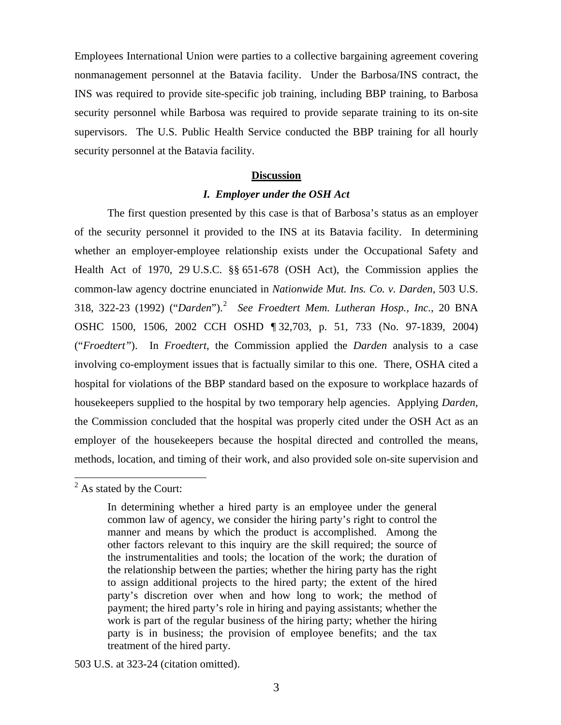Employees International Union were parties to a collective bargaining agreement covering nonmanagement personnel at the Batavia facility. Under the Barbosa/INS contract, the INS was required to provide site-specific job training, including BBP training, to Barbosa security personnel while Barbosa was required to provide separate training to its on-site supervisors. The U.S. Public Health Service conducted the BBP training for all hourly security personnel at the Batavia facility.

#### **Discussion**

## *I. Employer under the OSH Act*

The first question presented by this case is that of Barbosa's status as an employer of the security personnel it provided to the INS at its Batavia facility. In determining whether an employer-employee relationship exists under the Occupational Safety and Health Act of 1970, 29 U.S.C. §§ 651-678 (OSH Act), the Commission applies the common-law agency doctrine enunciated in *Nationwide Mut. Ins. Co. v. Darden*, 503 U.S. 318, 322-23 (1992) ("*Darden*").[2](#page-2-0) *See Froedtert Mem. Lutheran Hosp., Inc.*, 20 BNA OSHC 1500, 1506, 2002 CCH OSHD ¶ 32,703, p. 51, 733 (No. 97-1839, 2004) ("*Froedtert"*). In *Froedtert*, the Commission applied the *Darden* analysis to a case involving co-employment issues that is factually similar to this one. There, OSHA cited a hospital for violations of the BBP standard based on the exposure to workplace hazards of housekeepers supplied to the hospital by two temporary help agencies. Applying *Darden*, the Commission concluded that the hospital was properly cited under the OSH Act as an employer of the housekeepers because the hospital directed and controlled the means, methods, location, and timing of their work, and also provided sole on-site supervision and

<span id="page-2-0"></span> $2$  As stated by the Court:

In determining whether a hired party is an employee under the general common law of agency, we consider the hiring party's right to control the manner and means by which the product is accomplished. Among the other factors relevant to this inquiry are the skill required; the source of the instrumentalities and tools; the location of the work; the duration of the relationship between the parties; whether the hiring party has the right to assign additional projects to the hired party; the extent of the hired party's discretion over when and how long to work; the method of payment; the hired party's role in hiring and paying assistants; whether the work is part of the regular business of the hiring party; whether the hiring party is in business; the provision of employee benefits; and the tax treatment of the hired party.

<sup>503</sup> U.S. at 323-24 (citation omitted).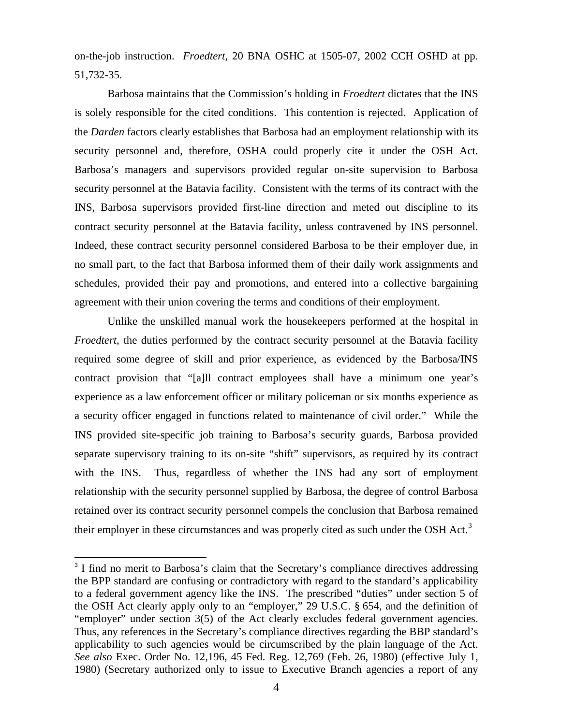on-the-job instruction. *Froedtert*, 20 BNA OSHC at 1505-07, 2002 CCH OSHD at pp. 51,732-35.

Barbosa maintains that the Commission's holding in *Froedtert* dictates that the INS is solely responsible for the cited conditions. This contention is rejected. Application of the *Darden* factors clearly establishes that Barbosa had an employment relationship with its security personnel and, therefore, OSHA could properly cite it under the OSH Act. Barbosa's managers and supervisors provided regular on-site supervision to Barbosa security personnel at the Batavia facility. Consistent with the terms of its contract with the INS, Barbosa supervisors provided first-line direction and meted out discipline to its contract security personnel at the Batavia facility, unless contravened by INS personnel. Indeed, these contract security personnel considered Barbosa to be their employer due, in no small part, to the fact that Barbosa informed them of their daily work assignments and schedules, provided their pay and promotions, and entered into a collective bargaining agreement with their union covering the terms and conditions of their employment.

Unlike the unskilled manual work the housekeepers performed at the hospital in *Froedtert*, the duties performed by the contract security personnel at the Batavia facility required some degree of skill and prior experience, as evidenced by the Barbosa/INS contract provision that "[a]ll contract employees shall have a minimum one year's experience as a law enforcement officer or military policeman or six months experience as a security officer engaged in functions related to maintenance of civil order." While the INS provided site-specific job training to Barbosa's security guards, Barbosa provided separate supervisory training to its on-site "shift" supervisors, as required by its contract with the INS. Thus, regardless of whether the INS had any sort of employment relationship with the security personnel supplied by Barbosa, the degree of control Barbosa retained over its contract security personnel compels the conclusion that Barbosa remained their employer in these circumstances and was properly cited as such under the OSH Act.<sup>[3](#page-3-0)</sup>

<span id="page-3-0"></span><sup>&</sup>lt;sup>3</sup> I find no merit to Barbosa's claim that the Secretary's compliance directives addressing the BPP standard are confusing or contradictory with regard to the standard's applicability to a federal government agency like the INS. The prescribed "duties" under section 5 of the OSH Act clearly apply only to an "employer," 29 U.S.C. § 654, and the definition of "employer" under section 3(5) of the Act clearly excludes federal government agencies. Thus, any references in the Secretary's compliance directives regarding the BBP standard's applicability to such agencies would be circumscribed by the plain language of the Act. *See also* Exec. Order No. 12,196, 45 Fed. Reg. 12,769 (Feb. 26, 1980) (effective July 1, 1980) (Secretary authorized only to issue to Executive Branch agencies a report of any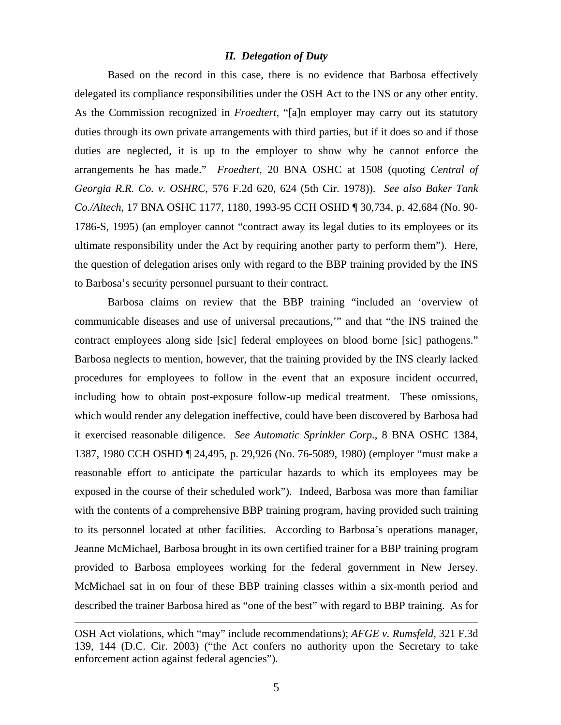### *II. Delegation of Duty*

Based on the record in this case, there is no evidence that Barbosa effectively delegated its compliance responsibilities under the OSH Act to the INS or any other entity. As the Commission recognized in *Froedtert*, "[a]n employer may carry out its statutory duties through its own private arrangements with third parties, but if it does so and if those duties are neglected, it is up to the employer to show why he cannot enforce the arrangements he has made." *Froedtert*, 20 BNA OSHC at 1508 (quoting *Central of Georgia R.R. Co. v. OSHRC*, 576 F.2d 620, 624 (5th Cir. 1978)). *See also Baker Tank Co./Altech*, 17 BNA OSHC 1177, 1180, 1993-95 CCH OSHD ¶ 30,734, p. 42,684 (No. 90 1786-S, 1995) (an employer cannot "contract away its legal duties to its employees or its ultimate responsibility under the Act by requiring another party to perform them"). Here, the question of delegation arises only with regard to the BBP training provided by the INS to Barbosa's security personnel pursuant to their contract.

Barbosa claims on review that the BBP training "included an 'overview of communicable diseases and use of universal precautions,'" and that "the INS trained the contract employees along side [sic] federal employees on blood borne [sic] pathogens." Barbosa neglects to mention, however, that the training provided by the INS clearly lacked procedures for employees to follow in the event that an exposure incident occurred, including how to obtain post-exposure follow-up medical treatment. These omissions, which would render any delegation ineffective, could have been discovered by Barbosa had it exercised reasonable diligence. *See Automatic Sprinkler Corp*., 8 BNA OSHC 1384, 1387, 1980 CCH OSHD ¶ 24,495, p. 29,926 (No. 76-5089, 1980) (employer "must make a reasonable effort to anticipate the particular hazards to which its employees may be exposed in the course of their scheduled work"). Indeed, Barbosa was more than familiar with the contents of a comprehensive BBP training program, having provided such training to its personnel located at other facilities. According to Barbosa's operations manager, Jeanne McMichael, Barbosa brought in its own certified trainer for a BBP training program provided to Barbosa employees working for the federal government in New Jersey. McMichael sat in on four of these BBP training classes within a six-month period and described the trainer Barbosa hired as "one of the best" with regard to BBP training. As for

OSH Act violations, which "may" include recommendations); *AFGE v. Rumsfeld*, 321 F.3d 139, 144 (D.C. Cir. 2003) ("the Act confers no authority upon the Secretary to take enforcement action against federal agencies").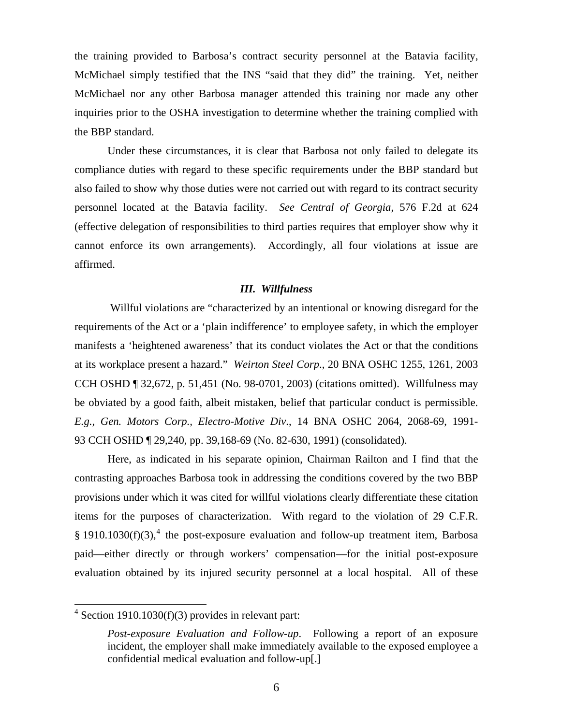the training provided to Barbosa's contract security personnel at the Batavia facility, McMichael simply testified that the INS "said that they did" the training. Yet, neither McMichael nor any other Barbosa manager attended this training nor made any other inquiries prior to the OSHA investigation to determine whether the training complied with the BBP standard.

Under these circumstances, it is clear that Barbosa not only failed to delegate its compliance duties with regard to these specific requirements under the BBP standard but also failed to show why those duties were not carried out with regard to its contract security personnel located at the Batavia facility. *See Central of Georgia*, 576 F.2d at 624 (effective delegation of responsibilities to third parties requires that employer show why it cannot enforce its own arrangements). Accordingly, all four violations at issue are affirmed.

## *III. Willfulness*

Willful violations are "characterized by an intentional or knowing disregard for the requirements of the Act or a 'plain indifference' to employee safety, in which the employer manifests a 'heightened awareness' that its conduct violates the Act or that the conditions at its workplace present a hazard." *Weirton Steel Corp*., 20 BNA OSHC 1255, 1261, 2003 CCH OSHD ¶ 32,672, p. 51,451 (No. 98-0701, 2003) (citations omitted). Willfulness may be obviated by a good faith, albeit mistaken, belief that particular conduct is permissible. *E.g., Gen. Motors Corp., Electro-Motive Div*., 14 BNA OSHC 2064, 2068-69, 1991 93 CCH OSHD ¶ 29,240, pp. 39,168-69 (No. 82-630, 1991) (consolidated).

Here, as indicated in his separate opinion, Chairman Railton and I find that the contrasting approaches Barbosa took in addressing the conditions covered by the two BBP provisions under which it was cited for willful violations clearly differentiate these citation items for the purposes of characterization. With regard to the violation of 29 C.F.R. § 1910.1030(f)(3),<sup>[4](#page-5-0)</sup> the post-exposure evaluation and follow-up treatment item, Barbosa paid—either directly or through workers' compensation—for the initial post-exposure evaluation obtained by its injured security personnel at a local hospital. All of these

<span id="page-5-0"></span> $4$  Section [1910.1030\(f\)\(3\)](http://www.osha.gov/pls/oshaweb/owalink.query_links?src_doc_type=STANDARDS&src_unique_file=1910_1030&src_anchor_name=1910.1030(f)(3)) provides in relevant part:

*Post-exposure Evaluation and Follow-up*. Following a report of an exposure incident, the employer shall make immediately available to the exposed employee a confidential medical evaluation and follow-up[.]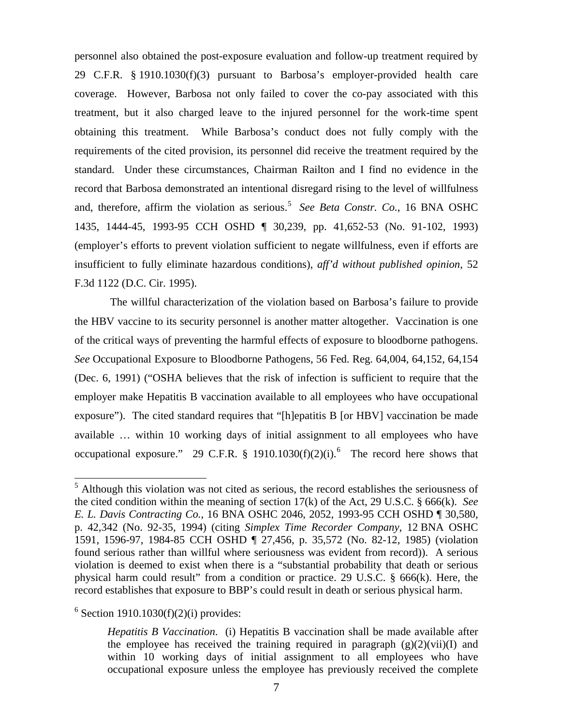personnel also obtained the post-exposure evaluation and follow-up treatment required by 29 C.F.R. § 1910.1030(f)(3) pursuant to Barbosa's employer-provided health care coverage. However, Barbosa not only failed to cover the co-pay associated with this treatment, but it also charged leave to the injured personnel for the work-time spent obtaining this treatment. While Barbosa's conduct does not fully comply with the requirements of the cited provision, its personnel did receive the treatment required by the standard. Under these circumstances, Chairman Railton and I find no evidence in the record that Barbosa demonstrated an intentional disregard rising to the level of willfulness and, therefore, affirm the violation as serious.<sup>[5](#page-6-0)</sup> *See Beta Constr. Co.*, 16 BNA OSHC 1435, 1444-45, 1993-95 CCH OSHD ¶ 30,239, pp. 41,652-53 (No. 91-102, 1993) (employer's efforts to prevent violation sufficient to negate willfulness, even if efforts are insufficient to fully eliminate hazardous conditions), *aff'd without published opinion*, 52 F.3d 1122 (D.C. Cir. 1995).

The willful characterization of the violation based on Barbosa's failure to provide the HBV vaccine to its security personnel is another matter altogether. Vaccination is one of the critical ways of preventing the harmful effects of exposure to bloodborne pathogens. *See* Occupational Exposure to Bloodborne Pathogens, 56 Fed. Reg. 64,004, 64,152, 64,154 (Dec. 6, 1991) ("OSHA believes that the risk of infection is sufficient to require that the employer make Hepatitis B vaccination available to all employees who have occupational exposure"). The cited standard requires that "[h]epatitis B [or HBV] vaccination be made available … within 10 working days of initial assignment to all employees who have occupational exposure." 29 C.F.R. § 1910.1030(f)(2)(i).<sup>[6](#page-6-1)</sup> The record here shows that

<span id="page-6-0"></span> $<sup>5</sup>$  Although this violation was not cited as serious, the record establishes the seriousness of</sup> the cited condition within the meaning of section 17(k) of the Act, 29 U.S.C. § 666(k). *See E. L. Davis Contracting Co.*, 16 BNA OSHC 2046, 2052, 1993-95 CCH OSHD ¶ 30,580, p. 42,342 (No. 92-35, 1994) (citing *Simplex Time Recorder Company*, 12 BNA OSHC 1591, 1596-97, 1984-85 CCH OSHD ¶ 27,456, p. 35,572 (No. 82-12, 1985) (violation found serious rather than willful where seriousness was evident from record)). A serious violation is deemed to exist when there is a "substantial probability that death or serious physical harm could result" from a condition or practice. 29 U.S.C. § 666(k). Here, the record establishes that exposure to BBP's could result in death or serious physical harm.

<span id="page-6-1"></span> $6$  Section [1910.1030\(f\)\(2\)](http://www.osha.gov/pls/oshaweb/owalink.query_links?src_doc_type=STANDARDS&src_unique_file=1910_1030&src_anchor_name=1910.1030(f)(2))(i) provides:

*Hepatitis B Vaccination*. (i) Hepatitis B vaccination shall be made available after the employee has received the training required in paragraph  $(g)(2)(vi)(I)$  and within 10 working days of initial assignment to all employees who have occupational exposure unless the employee has previously received the complete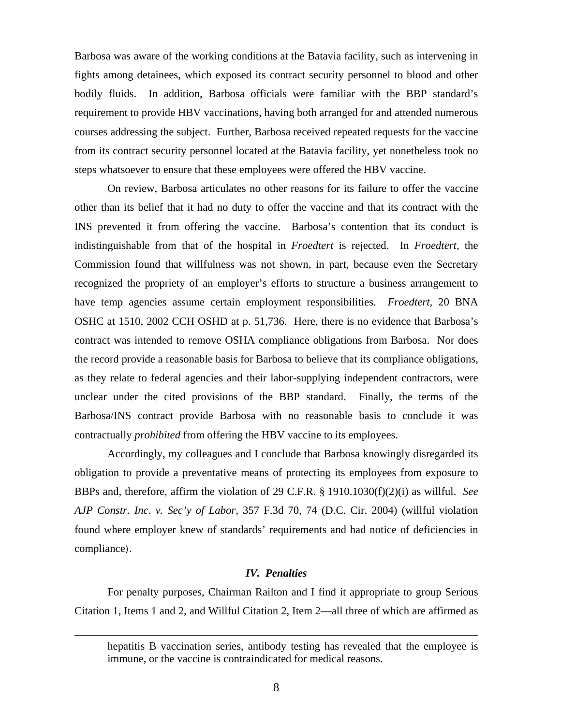Barbosa was aware of the working conditions at the Batavia facility, such as intervening in fights among detainees, which exposed its contract security personnel to blood and other bodily fluids. In addition, Barbosa officials were familiar with the BBP standard's requirement to provide HBV vaccinations, having both arranged for and attended numerous courses addressing the subject. Further, Barbosa received repeated requests for the vaccine from its contract security personnel located at the Batavia facility, yet nonetheless took no steps whatsoever to ensure that these employees were offered the HBV vaccine.

On review, Barbosa articulates no other reasons for its failure to offer the vaccine other than its belief that it had no duty to offer the vaccine and that its contract with the INS prevented it from offering the vaccine. Barbosa's contention that its conduct is indistinguishable from that of the hospital in *Froedtert* is rejected. In *Froedtert*, the Commission found that willfulness was not shown, in part, because even the Secretary recognized the propriety of an employer's efforts to structure a business arrangement to have temp agencies assume certain employment responsibilities. *Froedtert*, 20 BNA OSHC at 1510, 2002 CCH OSHD at p. 51,736. Here, there is no evidence that Barbosa's contract was intended to remove OSHA compliance obligations from Barbosa. Nor does the record provide a reasonable basis for Barbosa to believe that its compliance obligations, as they relate to federal agencies and their labor-supplying independent contractors, were unclear under the cited provisions of the BBP standard. Finally, the terms of the Barbosa/INS contract provide Barbosa with no reasonable basis to conclude it was contractually *prohibited* from offering the HBV vaccine to its employees.

Accordingly, my colleagues and I conclude that Barbosa knowingly disregarded its obligation to provide a preventative means of protecting its employees from exposure to BBPs and, therefore, affirm the violation of 29 C.F.R. § 1910.1030(f)(2)(i) as willful. *See AJP Constr. Inc. v. Sec'y of Labor*, 357 F.3d 70, 74 (D.C. Cir. 2004) (willful violation found where employer knew of standards' requirements and had notice of deficiencies in compliance).

### *IV. Penalties*

For penalty purposes, Chairman Railton and I find it appropriate to group Serious Citation 1, Items 1 and 2, and Willful Citation 2, Item 2—all three of which are affirmed as

hepatitis B vaccination series, antibody testing has revealed that the employee is immune, or the vaccine is contraindicated for medical reasons.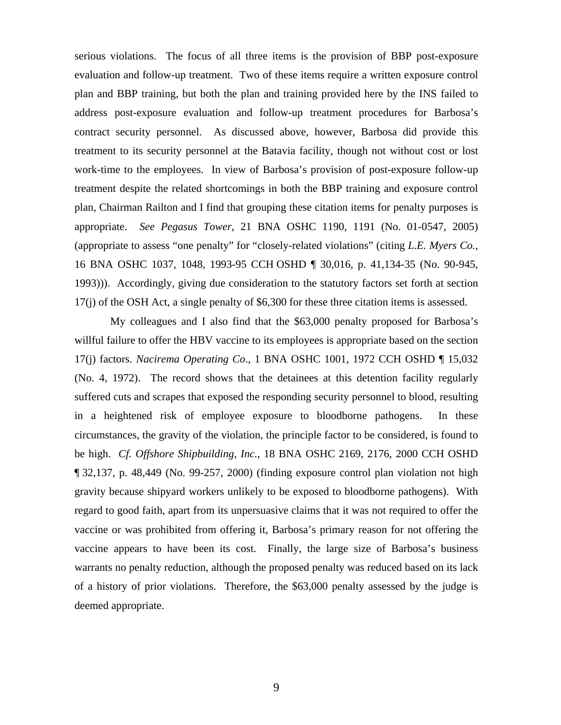serious violations. The focus of all three items is the provision of BBP post-exposure evaluation and follow-up treatment. Two of these items require a written exposure control plan and BBP training, but both the plan and training provided here by the INS failed to address post-exposure evaluation and follow-up treatment procedures for Barbosa's contract security personnel. As discussed above, however, Barbosa did provide this treatment to its security personnel at the Batavia facility, though not without cost or lost work-time to the employees. In view of Barbosa's provision of post-exposure follow-up treatment despite the related shortcomings in both the BBP training and exposure control plan, Chairman Railton and I find that grouping these citation items for penalty purposes is appropriate. *See Pegasus Tower*, 21 BNA OSHC 1190, 1191 (No. 01-0547, 2005) (appropriate to assess "one penalty" for "closely-related violations" (citing *L.E. Myers Co.*, 16 BNA OSHC 1037, 1048, 1993-95 CCH OSHD ¶ 30,016, p. 41,134-35 (No. 90-945, 1993))). Accordingly, giving due consideration to the statutory factors set forth at section 17(j) of the OSH Act, a single penalty of \$6,300 for these three citation items is assessed.

My colleagues and I also find that the \$63,000 penalty proposed for Barbosa's willful failure to offer the HBV vaccine to its employees is appropriate based on the section 17(j) factors. *Nacirema Operating Co*., 1 BNA OSHC 1001, 1972 CCH OSHD ¶ 15,032 (No. 4, 1972). The record shows that the detainees at this detention facility regularly suffered cuts and scrapes that exposed the responding security personnel to blood, resulting in a heightened risk of employee exposure to bloodborne pathogens. In these circumstances, the gravity of the violation, the principle factor to be considered, is found to be high. *Cf. Offshore Shipbuilding, Inc.*, 18 BNA OSHC 2169, 2176, 2000 CCH OSHD ¶ 32,137, p. 48,449 (No. 99-257, 2000) (finding exposure control plan violation not high gravity because shipyard workers unlikely to be exposed to bloodborne pathogens). With regard to good faith, apart from its unpersuasive claims that it was not required to offer the vaccine or was prohibited from offering it, Barbosa's primary reason for not offering the vaccine appears to have been its cost. Finally, the large size of Barbosa's business warrants no penalty reduction, although the proposed penalty was reduced based on its lack of a history of prior violations. Therefore, the \$63,000 penalty assessed by the judge is deemed appropriate.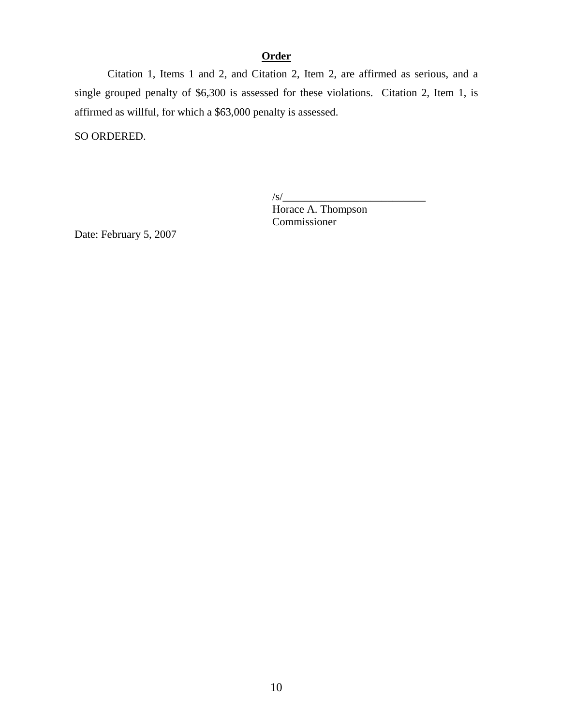# **Order**

Citation 1, Items 1 and 2, and Citation 2, Item 2, are affirmed as serious, and a single grouped penalty of \$6,300 is assessed for these violations. Citation 2, Item 1, is affirmed as willful, for which a \$63,000 penalty is assessed.

SO ORDERED.

 $\sqrt{s}/$ 

Horace A. Thompson Commissioner

Date: February 5, 2007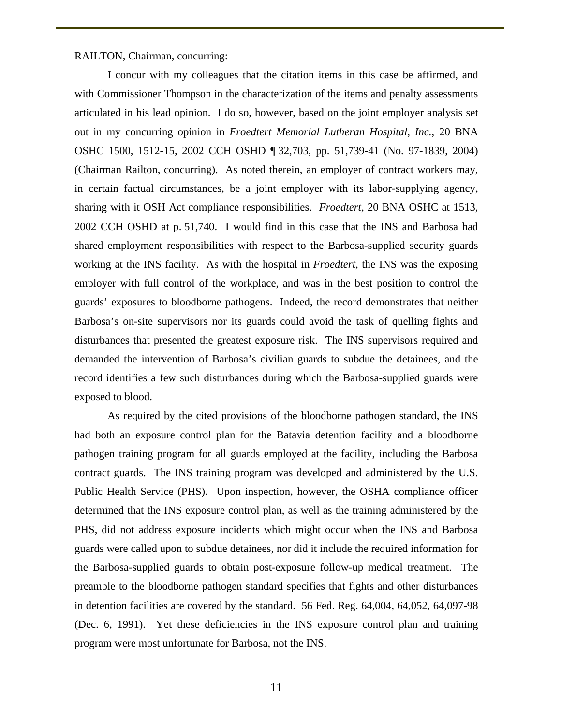RAILTON, Chairman, concurring:

I concur with my colleagues that the citation items in this case be affirmed, and with Commissioner Thompson in the characterization of the items and penalty assessments articulated in his lead opinion. I do so, however, based on the joint employer analysis set out in my concurring opinion in *Froedtert Memorial Lutheran Hospital*, *Inc.*, 20 BNA OSHC 1500, 1512-15, 2002 CCH OSHD ¶ 32,703, pp. 51,739-41 (No. 97-1839, 2004) (Chairman Railton, concurring). As noted therein, an employer of contract workers may, in certain factual circumstances, be a joint employer with its labor-supplying agency, sharing with it OSH Act compliance responsibilities. *Froedtert*, 20 BNA OSHC at 1513, 2002 CCH OSHD at p. 51,740. I would find in this case that the INS and Barbosa had shared employment responsibilities with respect to the Barbosa-supplied security guards working at the INS facility. As with the hospital in *Froedtert*, the INS was the exposing employer with full control of the workplace, and was in the best position to control the guards' exposures to bloodborne pathogens. Indeed, the record demonstrates that neither Barbosa's on-site supervisors nor its guards could avoid the task of quelling fights and disturbances that presented the greatest exposure risk. The INS supervisors required and demanded the intervention of Barbosa's civilian guards to subdue the detainees, and the record identifies a few such disturbances during which the Barbosa-supplied guards were exposed to blood.

As required by the cited provisions of the bloodborne pathogen standard, the INS had both an exposure control plan for the Batavia detention facility and a bloodborne pathogen training program for all guards employed at the facility, including the Barbosa contract guards. The INS training program was developed and administered by the U.S. Public Health Service (PHS). Upon inspection, however, the OSHA compliance officer determined that the INS exposure control plan, as well as the training administered by the PHS, did not address exposure incidents which might occur when the INS and Barbosa guards were called upon to subdue detainees, nor did it include the required information for the Barbosa-supplied guards to obtain post-exposure follow-up medical treatment. The preamble to the bloodborne pathogen standard specifies that fights and other disturbances in detention facilities are covered by the standard. 56 Fed. Reg. 64,004, 64,052, 64,097-98 (Dec. 6, 1991). Yet these deficiencies in the INS exposure control plan and training program were most unfortunate for Barbosa, not the INS.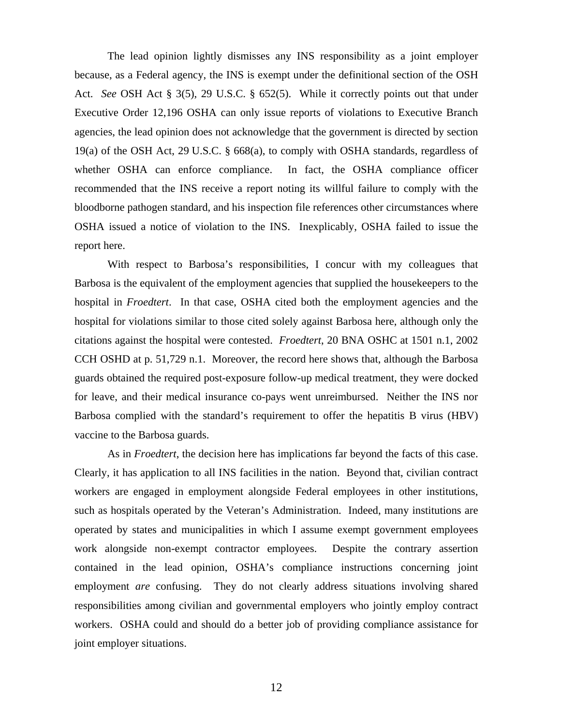The lead opinion lightly dismisses any INS responsibility as a joint employer because, as a Federal agency, the INS is exempt under the definitional section of the OSH Act. *See* OSH Act § 3(5), 29 U.S.C. § 652(5). While it correctly points out that under Executive Order 12,196 OSHA can only issue reports of violations to Executive Branch agencies, the lead opinion does not acknowledge that the government is directed by section 19(a) of the OSH Act, 29 U.S.C. § 668(a), to comply with OSHA standards, regardless of whether OSHA can enforce compliance. In fact, the OSHA compliance officer recommended that the INS receive a report noting its willful failure to comply with the bloodborne pathogen standard, and his inspection file references other circumstances where OSHA issued a notice of violation to the INS. Inexplicably, OSHA failed to issue the report here.

With respect to Barbosa's responsibilities, I concur with my colleagues that Barbosa is the equivalent of the employment agencies that supplied the housekeepers to the hospital in *Froedtert*. In that case, OSHA cited both the employment agencies and the hospital for violations similar to those cited solely against Barbosa here, although only the citations against the hospital were contested. *Froedtert*, 20 BNA OSHC at 1501 n.1, 2002 CCH OSHD at p. 51,729 n.1. Moreover, the record here shows that, although the Barbosa guards obtained the required post-exposure follow-up medical treatment, they were docked for leave, and their medical insurance co-pays went unreimbursed. Neither the INS nor Barbosa complied with the standard's requirement to offer the hepatitis B virus (HBV) vaccine to the Barbosa guards.

As in *Froedtert*, the decision here has implications far beyond the facts of this case. Clearly, it has application to all INS facilities in the nation. Beyond that, civilian contract workers are engaged in employment alongside Federal employees in other institutions, such as hospitals operated by the Veteran's Administration. Indeed, many institutions are operated by states and municipalities in which I assume exempt government employees work alongside non-exempt contractor employees. Despite the contrary assertion contained in the lead opinion, OSHA's compliance instructions concerning joint employment *are* confusing. They do not clearly address situations involving shared responsibilities among civilian and governmental employers who jointly employ contract workers. OSHA could and should do a better job of providing compliance assistance for joint employer situations.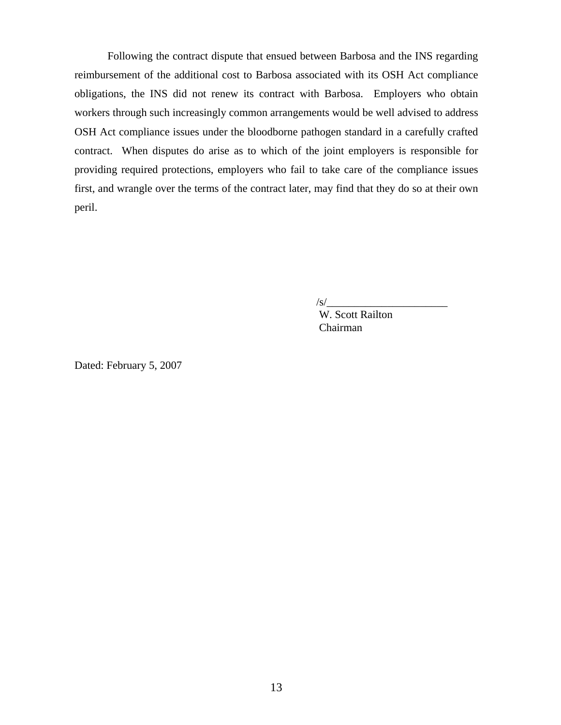Following the contract dispute that ensued between Barbosa and the INS regarding reimbursement of the additional cost to Barbosa associated with its OSH Act compliance obligations, the INS did not renew its contract with Barbosa. Employers who obtain workers through such increasingly common arrangements would be well advised to address OSH Act compliance issues under the bloodborne pathogen standard in a carefully crafted contract. When disputes do arise as to which of the joint employers is responsible for providing required protections, employers who fail to take care of the compliance issues first, and wrangle over the terms of the contract later, may find that they do so at their own peril.

 $\sqrt{s/2}$ 

W. Scott Railton Chairman

Dated: February 5, 2007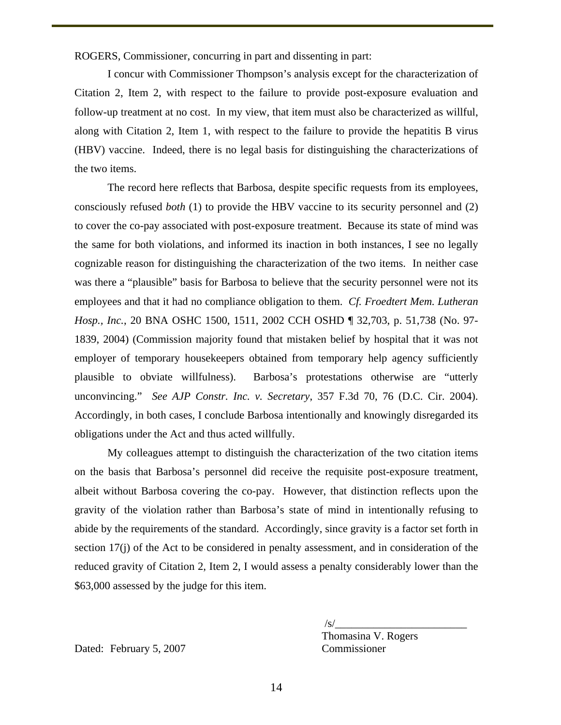ROGERS, Commissioner, concurring in part and dissenting in part:

I concur with Commissioner Thompson's analysis except for the characterization of Citation 2, Item 2, with respect to the failure to provide post-exposure evaluation and follow-up treatment at no cost. In my view, that item must also be characterized as willful, along with Citation 2, Item 1, with respect to the failure to provide the hepatitis B virus (HBV) vaccine. Indeed, there is no legal basis for distinguishing the characterizations of the two items.

The record here reflects that Barbosa, despite specific requests from its employees, consciously refused *both* (1) to provide the HBV vaccine to its security personnel and (2) to cover the co-pay associated with post-exposure treatment. Because its state of mind was the same for both violations, and informed its inaction in both instances, I see no legally cognizable reason for distinguishing the characterization of the two items. In neither case was there a "plausible" basis for Barbosa to believe that the security personnel were not its employees and that it had no compliance obligation to them. *Cf. Froedtert Mem. Lutheran Hosp., Inc.*, 20 BNA OSHC 1500, 1511, 2002 CCH OSHD ¶ 32,703, p. 51,738 (No. 97 1839, 2004) (Commission majority found that mistaken belief by hospital that it was not employer of temporary housekeepers obtained from temporary help agency sufficiently plausible to obviate willfulness). Barbosa's protestations otherwise are "utterly unconvincing." *See AJP Constr. Inc. v. Secretary*, 357 F.3d 70, 76 (D.C. Cir. 2004). Accordingly, in both cases, I conclude Barbosa intentionally and knowingly disregarded its obligations under the Act and thus acted willfully.

My colleagues attempt to distinguish the characterization of the two citation items on the basis that Barbosa's personnel did receive the requisite post-exposure treatment, albeit without Barbosa covering the co-pay. However, that distinction reflects upon the gravity of the violation rather than Barbosa's state of mind in intentionally refusing to abide by the requirements of the standard. Accordingly, since gravity is a factor set forth in section 17(j) of the Act to be considered in penalty assessment, and in consideration of the reduced gravity of Citation 2, Item 2, I would assess a penalty considerably lower than the \$63,000 assessed by the judge for this item.

> /s/\_\_\_\_\_\_\_\_\_\_\_\_\_\_\_\_\_\_\_\_\_\_\_\_ Thomasina V. Rogers

Dated: February 5, 2007 Commissioner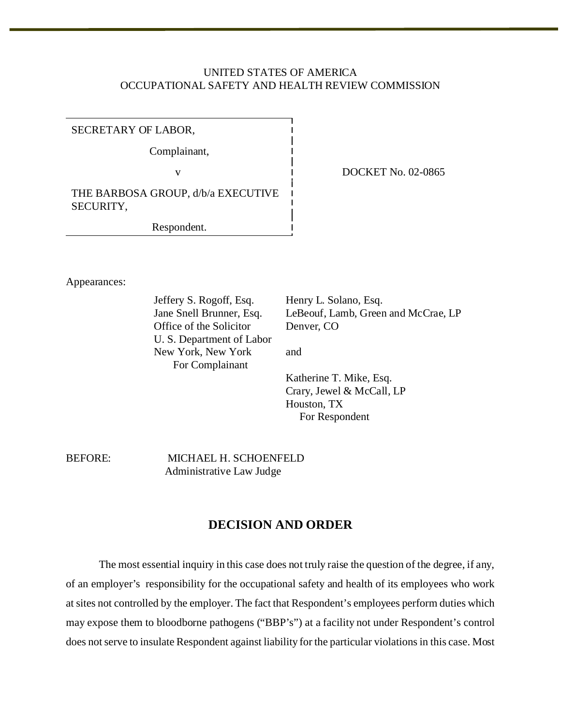# UNITED STATES OF AMERICA OCCUPATIONAL SAFETY AND HEALTH REVIEW COMMISSION

SECRETARY OF LABOR,

Complainant,

THE BARBOSA GROUP, d/b/a EXECUTIVE SECURITY,

Respondent.

v DOCKET No. 02-0865

Appearances:

Jeffery S. Rogoff, Esq. Henry L. Solano, Esq. Office of the Solicitor Denver, CO U. S. Department of Labor New York, New York and For Complainant

Jane Snell Brunner, Esq. LeBeouf, Lamb, Green and McCrae, LP

Katherine T. Mike, Esq. Crary, Jewel & McCall, LP Houston, TX For Respondent

BEFORE: MICHAEL H. SCHOENFELD Administrative Law Judge

# **DECISION AND ORDER**

The most essential inquiry in this case does not truly raise the question of the degree, if any, of an employer's responsibility for the occupational safety and health of its employees who work at sites not controlled by the employer. The fact that Respondent's employees perform duties which may expose them to bloodborne pathogens ("BBP's") at a facility not under Respondent's control does not serve to insulate Respondent against liability for the particular violations in this case. Most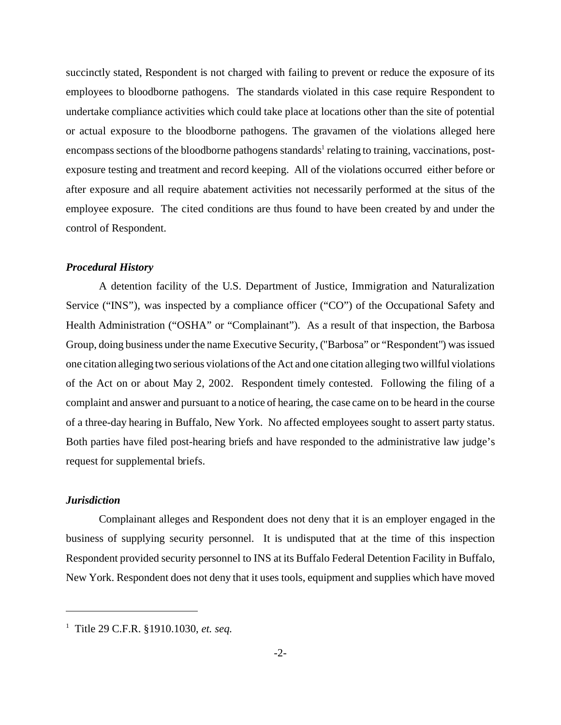succinctly stated, Respondent is not charged with failing to prevent or reduce the exposure of its employees to bloodborne pathogens. The standards violated in this case require Respondent to undertake compliance activities which could take place at locations other than the site of potential or actual exposure to the bloodborne pathogens. The gravamen of the violations alleged here encompass sections of the bloodborne pathogens standards<sup>1</sup> relating to training, vaccinations, postexposure testing and treatment and record keeping. All of the violations occurred either before or after exposure and all require abatement activities not necessarily performed at the situs of the employee exposure. The cited conditions are thus found to have been created by and under the control of Respondent.

### *Procedural History*

A detention facility of the U.S. Department of Justice, Immigration and Naturalization Service ("INS"), was inspected by a compliance officer ("CO") of the Occupational Safety and Health Administration ("OSHA" or "Complainant"). As a result of that inspection, the Barbosa Group, doing business under the name Executive Security, ("Barbosa" or "Respondent") was issued one citation alleging two serious violations of the Act and one citation alleging two willful violations of the Act on or about May 2, 2002. Respondent timely contested. Following the filing of a complaint and answer and pursuant to a notice of hearing, the case came on to be heard in the course of a three-day hearing in Buffalo, New York. No affected employees sought to assert party status. Both parties have filed post-hearing briefs and have responded to the administrative law judge's request for supplemental briefs.

## *Jurisdiction*

Complainant alleges and Respondent does not deny that it is an employer engaged in the business of supplying security personnel. It is undisputed that at the time of this inspection Respondent provided security personnel to INS at its Buffalo Federal Detention Facility in Buffalo, New York. Respondent does not deny that it uses tools, equipment and supplies which have moved

<sup>1</sup> Title 29 C.F.R. §1910.1030, *et. seq.*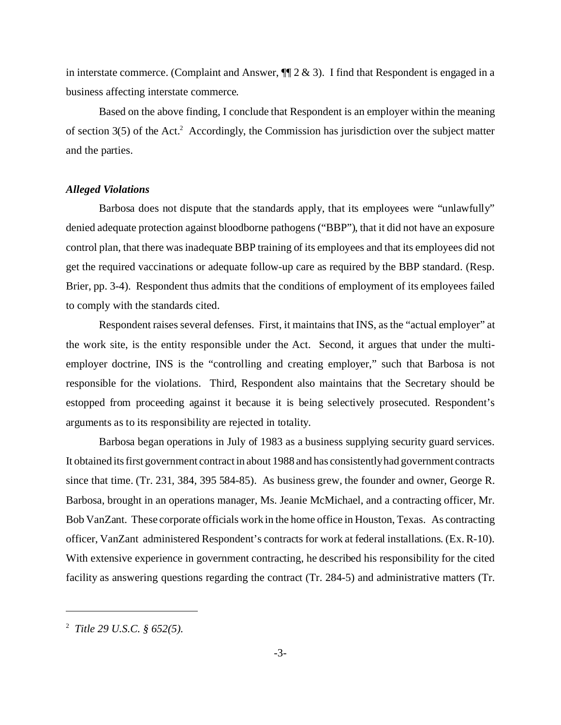in interstate commerce. (Complaint and Answer,  $\P$  2 & 3). I find that Respondent is engaged in a business affecting interstate commerce.

Based on the above finding, I conclude that Respondent is an employer within the meaning of section  $3(5)$  of the Act.<sup>2</sup> Accordingly, the Commission has jurisdiction over the subject matter and the parties.

## *Alleged Violations*

Barbosa does not dispute that the standards apply, that its employees were "unlawfully" denied adequate protection against bloodborne pathogens ("BBP"), that it did not have an exposure control plan, that there was inadequate BBP training of its employees and that its employees did not get the required vaccinations or adequate follow-up care as required by the BBP standard. (Resp. Brier, pp. 3-4). Respondent thus admits that the conditions of employment of its employees failed to comply with the standards cited.

Respondent raises several defenses. First, it maintains that INS, as the "actual employer" at the work site, is the entity responsible under the Act. Second, it argues that under the multiemployer doctrine, INS is the "controlling and creating employer," such that Barbosa is not responsible for the violations. Third, Respondent also maintains that the Secretary should be estopped from proceeding against it because it is being selectively prosecuted. Respondent's arguments as to its responsibility are rejected in totality.

Barbosa began operations in July of 1983 as a business supplying security guard services. It obtained its first government contract in about 1988 and has consistently had government contracts since that time. (Tr. 231, 384, 395 584-85). As business grew, the founder and owner, George R. Barbosa, brought in an operations manager, Ms. Jeanie McMichael, and a contracting officer, Mr. Bob VanZant. These corporate officials work in the home office in Houston, Texas. As contracting officer, VanZant administered Respondent's contracts for work at federal installations. (Ex. R-10). With extensive experience in government contracting, he described his responsibility for the cited facility as answering questions regarding the contract (Tr. 284-5) and administrative matters (Tr.

<sup>2</sup> *Title 29 U.S.C. § 652(5).*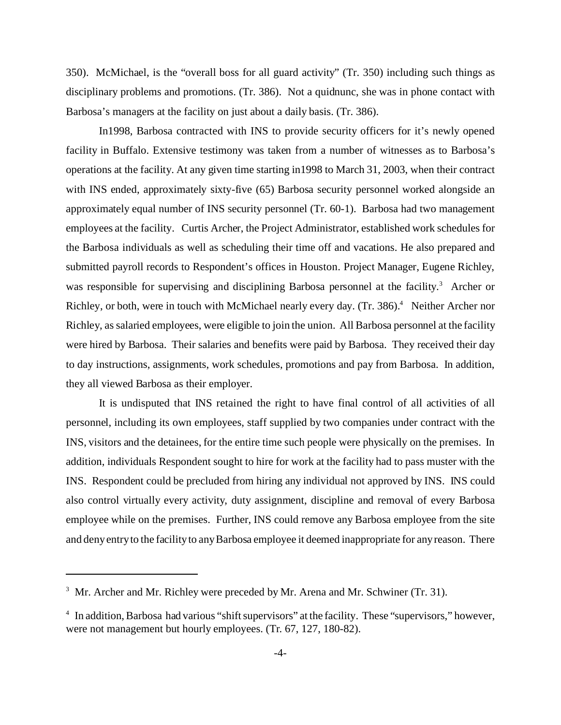350). McMichael, is the "overall boss for all guard activity" (Tr. 350) including such things as disciplinary problems and promotions. (Tr. 386). Not a quidnunc, she was in phone contact with Barbosa's managers at the facility on just about a daily basis. (Tr. 386).

In1998, Barbosa contracted with INS to provide security officers for it's newly opened facility in Buffalo. Extensive testimony was taken from a number of witnesses as to Barbosa's operations at the facility. At any given time starting in1998 to March 31, 2003, when their contract with INS ended, approximately sixty-five (65) Barbosa security personnel worked alongside an approximately equal number of INS security personnel (Tr. 60-1). Barbosa had two management employees at the facility. Curtis Archer, the Project Administrator, established work schedules for the Barbosa individuals as well as scheduling their time off and vacations. He also prepared and submitted payroll records to Respondent's offices in Houston. Project Manager, Eugene Richley, was responsible for supervising and disciplining Barbosa personnel at the facility.<sup>3</sup> Archer or Richley, or both, were in touch with McMichael nearly every day. (Tr. 386).<sup>4</sup> Neither Archer nor Richley, as salaried employees, were eligible to join the union. All Barbosa personnel at the facility were hired by Barbosa. Their salaries and benefits were paid by Barbosa. They received their day to day instructions, assignments, work schedules, promotions and pay from Barbosa. In addition, they all viewed Barbosa as their employer.

It is undisputed that INS retained the right to have final control of all activities of all personnel, including its own employees, staff supplied by two companies under contract with the INS, visitors and the detainees, for the entire time such people were physically on the premises. In addition, individuals Respondent sought to hire for work at the facility had to pass muster with the INS. Respondent could be precluded from hiring any individual not approved by INS. INS could also control virtually every activity, duty assignment, discipline and removal of every Barbosa employee while on the premises. Further, INS could remove any Barbosa employee from the site and deny entry to the facility to any Barbosa employee it deemed inappropriate for any reason. There

 $3 \text{ Mr. Archer and Mr. Richley were preceded by Mr. Arena and Mr. Schwiner (Tr. 31).}$ 

<sup>&</sup>lt;sup>4</sup> In addition, Barbosa had various "shift supervisors" at the facility. These "supervisors," however, were not management but hourly employees. (Tr. 67, 127, 180-82).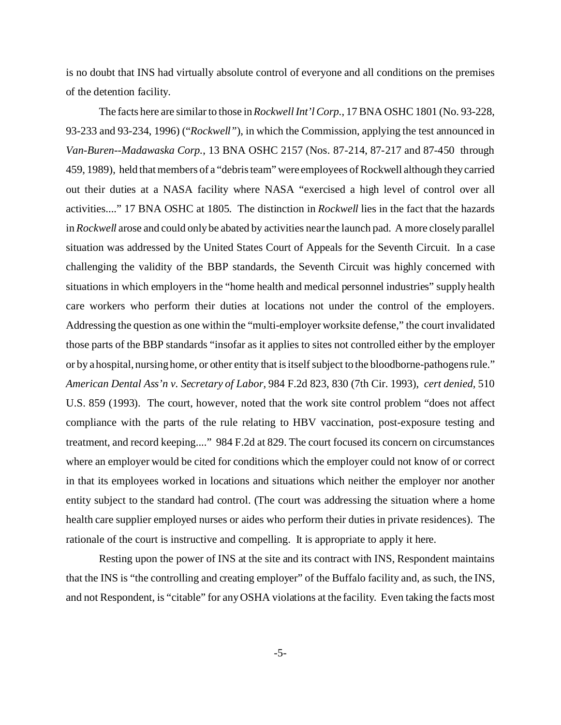is no doubt that INS had virtually absolute control of everyone and all conditions on the premises of the detention facility.

The facts here are similar to those in *Rockwell Int'l Corp.*, 17 BNA OSHC 1801 (No. 93-228, 93-233 and 93-234, 1996) ("*Rockwell"*), in which the Commission, applying the test announced in *Van-Buren--Madawaska Corp.*, 13 BNA OSHC 2157 (Nos. 87-214, 87-217 and 87-450 through 459, 1989), held that members of a "debris team" were employees of Rockwell although they carried out their duties at a NASA facility where NASA "exercised a high level of control over all activities...." 17 BNA OSHC at 1805. The distinction in *Rockwell* lies in the fact that the hazards in *Rockwell* arose and could only be abated by activities near the launch pad. A more closely parallel situation was addressed by the United States Court of Appeals for the Seventh Circuit. In a case challenging the validity of the BBP standards, the Seventh Circuit was highly concerned with situations in which employers in the "home health and medical personnel industries" supply health care workers who perform their duties at locations not under the control of the employers. Addressing the question as one within the "multi-employer worksite defense," the court invalidated those parts of the BBP standards "insofar as it applies to sites not controlled either by the employer or by a hospital, nursing home, or other entity that is itself subject to the bloodborne-pathogens rule." *American Dental Ass'n v. Secretary of Labor,* 984 F.2d 823, 830 (7th Cir. 1993), *cert denied,* 510 U.S. 859 (1993). The court, however, noted that the work site control problem "does not affect compliance with the parts of the rule relating to HBV vaccination, post-exposure testing and treatment, and record keeping...." 984 F.2d at 829. The court focused its concern on circumstances where an employer would be cited for conditions which the employer could not know of or correct in that its employees worked in locations and situations which neither the employer nor another entity subject to the standard had control. (The court was addressing the situation where a home health care supplier employed nurses or aides who perform their duties in private residences). The rationale of the court is instructive and compelling. It is appropriate to apply it here.

Resting upon the power of INS at the site and its contract with INS, Respondent maintains that the INS is "the controlling and creating employer" of the Buffalo facility and, as such, the INS, and not Respondent, is "citable" for any OSHA violations at the facility. Even taking the facts most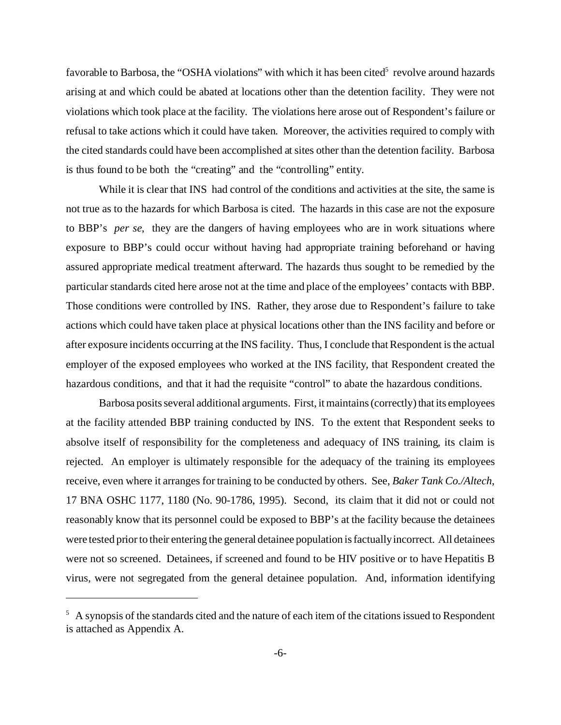favorable to Barbosa, the "OSHA violations" with which it has been cited $\delta$  revolve around hazards arising at and which could be abated at locations other than the detention facility. They were not violations which took place at the facility. The violations here arose out of Respondent's failure or refusal to take actions which it could have taken. Moreover, the activities required to comply with the cited standards could have been accomplished at sites other than the detention facility. Barbosa is thus found to be both the "creating" and the "controlling" entity.

While it is clear that INS had control of the conditions and activities at the site, the same is not true as to the hazards for which Barbosa is cited. The hazards in this case are not the exposure to BBP's *per se*, they are the dangers of having employees who are in work situations where exposure to BBP's could occur without having had appropriate training beforehand or having assured appropriate medical treatment afterward. The hazards thus sought to be remedied by the particular standards cited here arose not at the time and place of the employees' contacts with BBP. Those conditions were controlled by INS. Rather, they arose due to Respondent's failure to take actions which could have taken place at physical locations other than the INS facility and before or after exposure incidents occurring at the INS facility. Thus, I conclude that Respondent is the actual employer of the exposed employees who worked at the INS facility, that Respondent created the hazardous conditions, and that it had the requisite "control" to abate the hazardous conditions.

Barbosa posits several additional arguments. First, it maintains (correctly) that its employees at the facility attended BBP training conducted by INS. To the extent that Respondent seeks to absolve itself of responsibility for the completeness and adequacy of INS training, its claim is rejected. An employer is ultimately responsible for the adequacy of the training its employees receive, even where it arranges for training to be conducted by others. See, *Baker Tank Co./Altech*, 17 BNA OSHC 1177, 1180 (No. 90-1786, 1995). Second, its claim that it did not or could not reasonably know that its personnel could be exposed to BBP's at the facility because the detainees were tested prior to their entering the general detainee population is factually incorrect. All detainees were not so screened. Detainees, if screened and found to be HIV positive or to have Hepatitis B virus, were not segregated from the general detainee population. And, information identifying

 $<sup>5</sup>$  A synopsis of the standards cited and the nature of each item of the citations issued to Respondent</sup> is attached as Appendix A.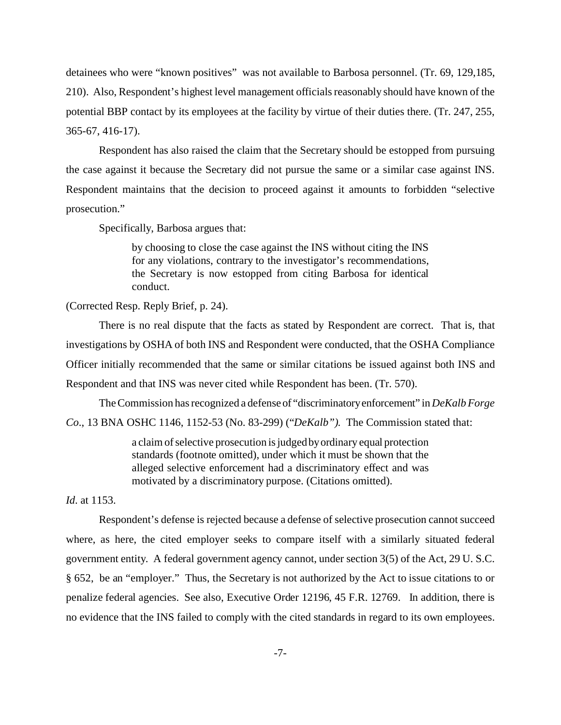detainees who were "known positives" was not available to Barbosa personnel. (Tr. 69, 129,185, 210). Also, Respondent's highest level management officials reasonably should have known of the potential BBP contact by its employees at the facility by virtue of their duties there. (Tr. 247, 255, 365-67, 416-17).

Respondent has also raised the claim that the Secretary should be estopped from pursuing the case against it because the Secretary did not pursue the same or a similar case against INS. Respondent maintains that the decision to proceed against it amounts to forbidden "selective prosecution."

Specifically, Barbosa argues that:

by choosing to close the case against the INS without citing the INS for any violations, contrary to the investigator's recommendations, the Secretary is now estopped from citing Barbosa for identical conduct.

#### (Corrected Resp. Reply Brief, p. 24).

There is no real dispute that the facts as stated by Respondent are correct. That is, that investigations by OSHA of both INS and Respondent were conducted, that the OSHA Compliance Officer initially recommended that the same or similar citations be issued against both INS and Respondent and that INS was never cited while Respondent has been. (Tr. 570).

The Commission has recognized a defense of "discriminatoryenforcement" in *DeKalb Forge Co*., 13 BNA OSHC 1146, 1152-53 (No. 83-299) ("*DeKalb")*. The Commission stated that:

> a claim of selective prosecution is judged byordinary equal protection standards (footnote omitted), under which it must be shown that the alleged selective enforcement had a discriminatory effect and was motivated by a discriminatory purpose. (Citations omitted).

## *Id*. at 1153.

Respondent's defense is rejected because a defense of selective prosecution cannot succeed where, as here, the cited employer seeks to compare itself with a similarly situated federal government entity. A federal government agency cannot, under section 3(5) of the Act, 29 U. S.C. § 652, be an "employer." Thus, the Secretary is not authorized by the Act to issue citations to or penalize federal agencies. See also, Executive Order 12196, 45 F.R. 12769. In addition, there is no evidence that the INS failed to comply with the cited standards in regard to its own employees.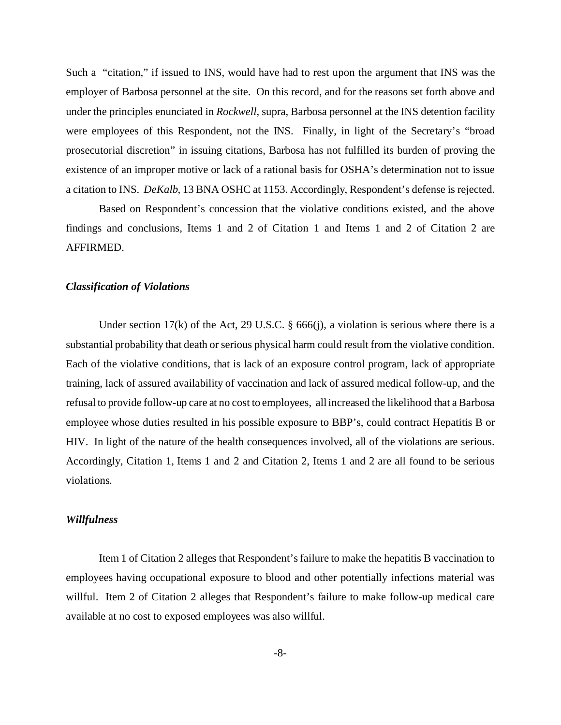Such a "citation," if issued to INS, would have had to rest upon the argument that INS was the employer of Barbosa personnel at the site. On this record, and for the reasons set forth above and under the principles enunciated in *Rockwell,* supra, Barbosa personnel at the INS detention facility were employees of this Respondent, not the INS. Finally, in light of the Secretary's "broad prosecutorial discretion" in issuing citations, Barbosa has not fulfilled its burden of proving the existence of an improper motive or lack of a rational basis for OSHA's determination not to issue a citation to INS. *DeKalb*, 13 BNA OSHC at 1153. Accordingly, Respondent's defense is rejected.

Based on Respondent's concession that the violative conditions existed, and the above findings and conclusions, Items 1 and 2 of Citation 1 and Items 1 and 2 of Citation 2 are AFFIRMED.

#### *Classification of Violations*

Under section 17(k) of the Act, 29 U.S.C. § 666(j), a violation is serious where there is a substantial probability that death or serious physical harm could result from the violative condition. Each of the violative conditions, that is lack of an exposure control program, lack of appropriate training, lack of assured availability of vaccination and lack of assured medical follow-up, and the refusal to provide follow-up care at no cost to employees, all increased the likelihood that a Barbosa employee whose duties resulted in his possible exposure to BBP's, could contract Hepatitis B or HIV. In light of the nature of the health consequences involved, all of the violations are serious. Accordingly, Citation 1, Items 1 and 2 and Citation 2, Items 1 and 2 are all found to be serious violations.

#### *Willfulness*

Item 1 of Citation 2 alleges that Respondent's failure to make the hepatitis B vaccination to employees having occupational exposure to blood and other potentially infections material was willful. Item 2 of Citation 2 alleges that Respondent's failure to make follow-up medical care available at no cost to exposed employees was also willful.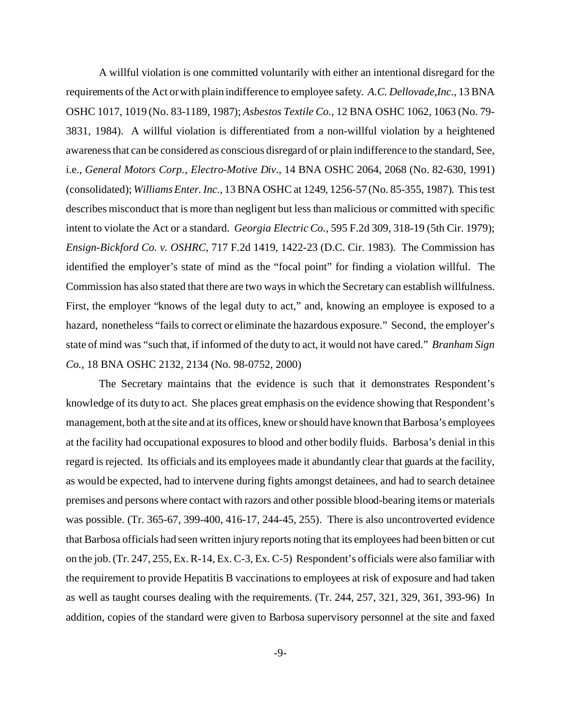A willful violation is one committed voluntarily with either an intentional disregard for the requirements of the Act or with plain indifference to employee safety. *A.C. Dellovade,Inc.*, 13 BNA OSHC 1017, 1019 (No. 83-1189, 1987); *Asbestos Textile Co.*, 12 BNA OSHC 1062, 1063 (No. 79 3831, 1984). A willful violation is differentiated from a non-willful violation by a heightened awareness that can be considered as conscious disregard of or plain indifference to the standard, See, i.e., *General Motors Corp., Electro-Motive Div*., 14 BNA OSHC 2064, 2068 (No. 82-630, 1991) (consolidated); *Williams Enter. Inc.*, 13 BNA OSHC at 1249, 1256-57 (No. 85-355, 1987). This test describes misconduct that is more than negligent but less than malicious or committed with specific intent to violate the Act or a standard. *Georgia Electric Co.*, 595 F.2d 309, 318-19 (5th Cir. 1979); *Ensign-Bickford Co. v. OSHRC*, 717 F.2d 1419, 1422-23 (D.C. Cir. 1983). The Commission has identified the employer's state of mind as the "focal point" for finding a violation willful. The Commission has also stated that there are two ways in which the Secretary can establish willfulness. First, the employer "knows of the legal duty to act," and, knowing an employee is exposed to a hazard, nonetheless "fails to correct or eliminate the hazardous exposure." Second, the employer's state of mind was "such that, if informed of the duty to act, it would not have cared." *Branham Sign Co.,* 18 BNA OSHC 2132, 2134 (No. 98-0752, 2000)

The Secretary maintains that the evidence is such that it demonstrates Respondent's knowledge of its duty to act. She places great emphasis on the evidence showing that Respondent's management, both at the site and at its offices, knew or should have known that Barbosa's employees at the facility had occupational exposures to blood and other bodily fluids. Barbosa's denial in this regard is rejected. Its officials and its employees made it abundantly clear that guards at the facility, as would be expected, had to intervene during fights amongst detainees, and had to search detainee premises and persons where contact with razors and other possible blood-bearing items or materials was possible. (Tr. 365-67, 399-400, 416-17, 244-45, 255). There is also uncontroverted evidence that Barbosa officials had seen written injury reports noting that its employees had been bitten or cut on the job. (Tr. 247, 255, Ex. R-14, Ex. C-3, Ex. C-5) Respondent's officials were also familiar with the requirement to provide Hepatitis B vaccinations to employees at risk of exposure and had taken as well as taught courses dealing with the requirements. (Tr. 244, 257, 321, 329, 361, 393-96) In addition, copies of the standard were given to Barbosa supervisory personnel at the site and faxed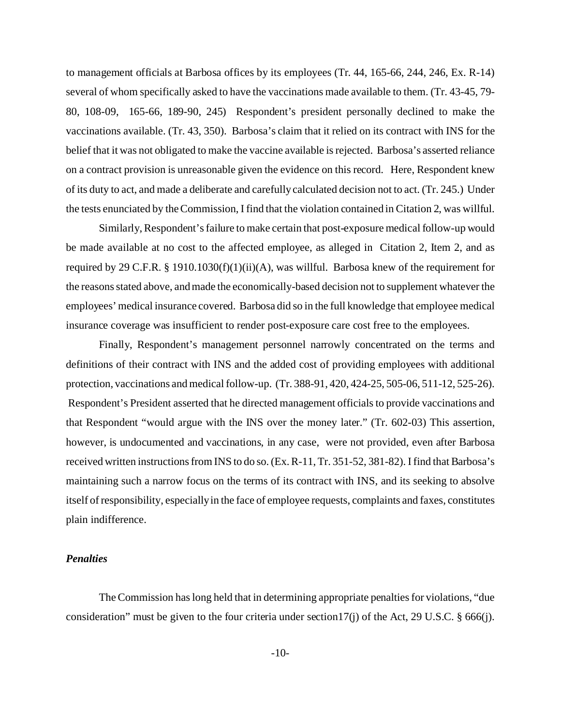to management officials at Barbosa offices by its employees (Tr. 44, 165-66, 244, 246, Ex. R-14) several of whom specifically asked to have the vaccinations made available to them. (Tr. 43-45, 79 80, 108-09, 165-66, 189-90, 245) Respondent's president personally declined to make the vaccinations available. (Tr. 43, 350). Barbosa's claim that it relied on its contract with INS for the belief that it was not obligated to make the vaccine available is rejected. Barbosa's asserted reliance on a contract provision is unreasonable given the evidence on this record. Here, Respondent knew of its duty to act, and made a deliberate and carefully calculated decision not to act. (Tr. 245.) Under the tests enunciated by the Commission, I find that the violation contained in Citation 2, was willful.

Similarly, Respondent's failure to make certain that post-exposure medical follow-up would be made available at no cost to the affected employee, as alleged in Citation 2, Item 2, and as required by 29 C.F.R. § 1910.1030(f)(1)(ii)(A), was willful. Barbosa knew of the requirement for the reasons stated above, and made the economically-based decision not to supplement whatever the employees' medical insurance covered. Barbosa did so in the full knowledge that employee medical insurance coverage was insufficient to render post-exposure care cost free to the employees.

Finally, Respondent's management personnel narrowly concentrated on the terms and definitions of their contract with INS and the added cost of providing employees with additional protection, vaccinations and medical follow-up. (Tr. 388-91, 420, 424-25, 505-06, 511-12, 525-26). Respondent's President asserted that he directed management officials to provide vaccinations and that Respondent "would argue with the INS over the money later." (Tr. 602-03) This assertion, however, is undocumented and vaccinations, in any case, were not provided, even after Barbosa received written instructions from INS to do so. (Ex. R-11, Tr. 351-52, 381-82). I find that Barbosa's maintaining such a narrow focus on the terms of its contract with INS, and its seeking to absolve itself of responsibility, especially in the face of employee requests, complaints and faxes, constitutes plain indifference.

## *Penalties*

The Commission has long held that in determining appropriate penalties for violations, "due consideration" must be given to the four criteria under section17(j) of the Act, 29 U.S.C. § 666(j).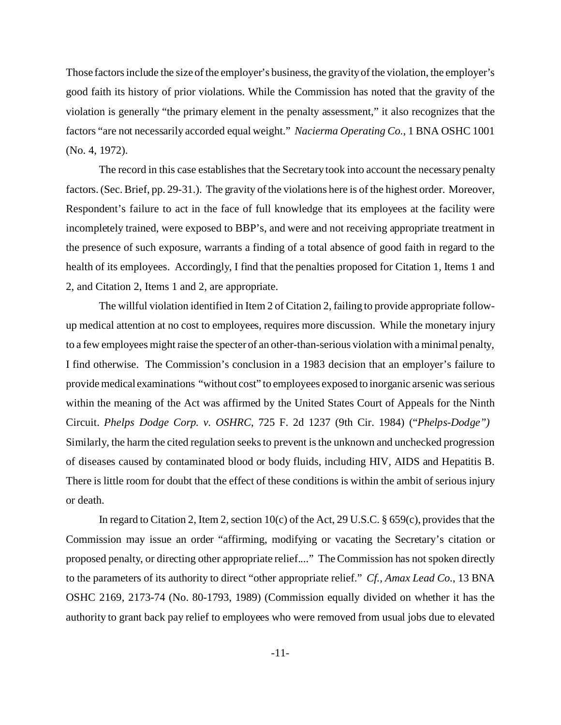Those factors include the size of the employer's business, the gravity of the violation, the employer's good faith its history of prior violations. While the Commission has noted that the gravity of the violation is generally "the primary element in the penalty assessment," it also recognizes that the factors "are not necessarily accorded equal weight." *Nacierma Operating Co.*, 1 BNA OSHC 1001 (No. 4, 1972).

The record in this case establishes that the Secretary took into account the necessary penalty factors. (Sec. Brief, pp. 29-31.). The gravity of the violations here is of the highest order. Moreover, Respondent's failure to act in the face of full knowledge that its employees at the facility were incompletely trained, were exposed to BBP's, and were and not receiving appropriate treatment in the presence of such exposure, warrants a finding of a total absence of good faith in regard to the health of its employees. Accordingly, I find that the penalties proposed for Citation 1, Items 1 and 2, and Citation 2, Items 1 and 2, are appropriate.

The willful violation identified in Item 2 of Citation 2, failing to provide appropriate followup medical attention at no cost to employees, requires more discussion. While the monetary injury to a few employees might raise the specter of an other-than-serious violation with a minimal penalty, I find otherwise. The Commission's conclusion in a 1983 decision that an employer's failure to provide medical examinations "without cost" to employees exposed to inorganic arsenic was serious within the meaning of the Act was affirmed by the United States Court of Appeals for the Ninth Circuit. *Phelps Dodge Corp. v. OSHRC*, 725 F. 2d 1237 (9th Cir. 1984) ("*Phelps-Dodge")*  Similarly, the harm the cited regulation seeks to prevent is the unknown and unchecked progression of diseases caused by contaminated blood or body fluids, including HIV, AIDS and Hepatitis B. There is little room for doubt that the effect of these conditions is within the ambit of serious injury or death.

In regard to Citation 2, Item 2, section 10(c) of the Act, 29 U.S.C. § 659(c), provides that the Commission may issue an order "affirming, modifying or vacating the Secretary's citation or proposed penalty, or directing other appropriate relief...." The Commission has not spoken directly to the parameters of its authority to direct "other appropriate relief." *Cf., Amax Lead Co.*, 13 BNA OSHC 2169, 2173-74 (No. 80-1793, 1989) (Commission equally divided on whether it has the authority to grant back pay relief to employees who were removed from usual jobs due to elevated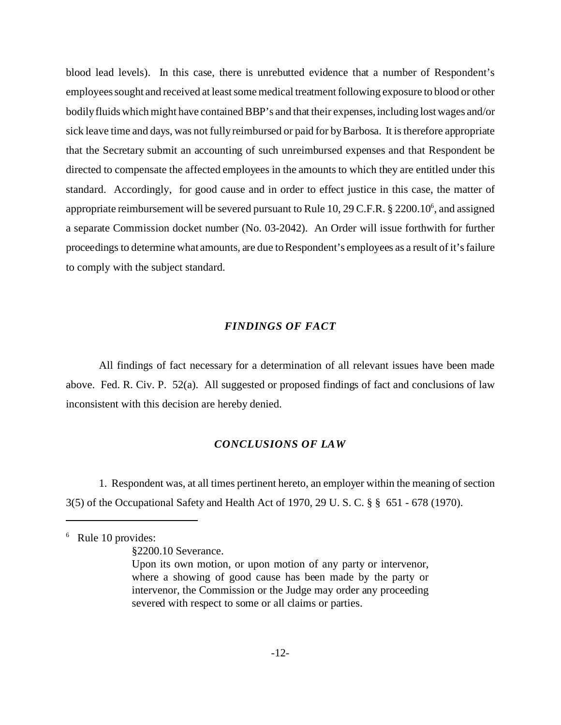blood lead levels). In this case, there is unrebutted evidence that a number of Respondent's employees sought and received at least some medical treatment following exposure to blood or other bodily fluids which might have contained BBP's and that their expenses, including lost wages and/or sick leave time and days, was not fully reimbursed or paid for by Barbosa. It is therefore appropriate that the Secretary submit an accounting of such unreimbursed expenses and that Respondent be directed to compensate the affected employees in the amounts to which they are entitled under this standard. Accordingly, for good cause and in order to effect justice in this case, the matter of appropriate reimbursement will be severed pursuant to Rule 10, 29 C.F.R.  $\S$  2200.10<sup>6</sup>, and assigned a separate Commission docket number (No. 03-2042). An Order will issue forthwith for further proceedings to determine what amounts, are due to Respondent's employees as a result of it's failure to comply with the subject standard.

### *FINDINGS OF FACT*

All findings of fact necessary for a determination of all relevant issues have been made above. Fed. R. Civ. P. 52(a). All suggested or proposed findings of fact and conclusions of law inconsistent with this decision are hereby denied.

# *CONCLUSIONS OF LAW*

1. Respondent was, at all times pertinent hereto, an employer within the meaning of section 3(5) of the Occupational Safety and Health Act of 1970, 29 U. S. C. § § 651 - 678 (1970).

<sup>6</sup> Rule 10 provides:

<sup>§2200.10</sup> Severance.

Upon its own motion, or upon motion of any party or intervenor, where a showing of good cause has been made by the party or intervenor, the Commission or the Judge may order any proceeding severed with respect to some or all claims or parties.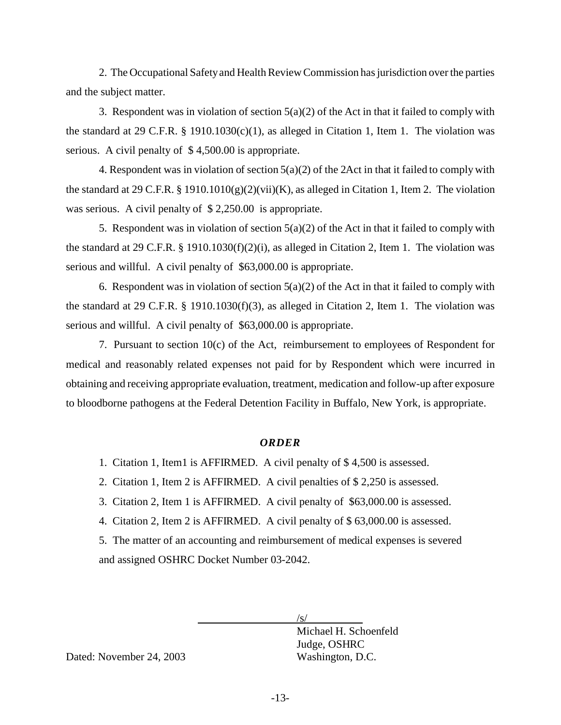2. The Occupational Safety and Health Review Commission has jurisdiction over the parties and the subject matter.

3. Respondent was in violation of section  $5(a)(2)$  of the Act in that it failed to comply with the standard at 29 C.F.R. § 1910.1030(c)(1), as alleged in Citation 1, Item 1. The violation was serious. A civil penalty of \$ 4,500.00 is appropriate.

4. Respondent was in violation of section 5(a)(2) of the 2Act in that it failed to comply with the standard at 29 C.F.R. § 1910.1010(g)(2)(vii)(K), as alleged in Citation 1, Item 2. The violation was serious. A civil penalty of \$2,250.00 is appropriate.

5. Respondent was in violation of section  $5(a)(2)$  of the Act in that it failed to comply with the standard at 29 C.F.R. § 1910.1030(f)(2)(i), as alleged in Citation 2, Item 1. The violation was serious and willful. A civil penalty of \$63,000.00 is appropriate.

6. Respondent was in violation of section  $5(a)(2)$  of the Act in that it failed to comply with the standard at 29 C.F.R. § 1910.1030(f)(3), as alleged in Citation 2, Item 1. The violation was serious and willful. A civil penalty of \$63,000.00 is appropriate.

7. Pursuant to section  $10(c)$  of the Act, reimbursement to employees of Respondent for medical and reasonably related expenses not paid for by Respondent which were incurred in obtaining and receiving appropriate evaluation, treatment, medication and follow-up after exposure to bloodborne pathogens at the Federal Detention Facility in Buffalo, New York, is appropriate.

## *ORDER*

- 1. Citation 1, Item1 is AFFIRMED. A civil penalty of \$ 4,500 is assessed.
- 2. Citation 1, Item 2 is AFFIRMED. A civil penalties of \$ 2,250 is assessed.
- 3. Citation 2, Item 1 is AFFIRMED. A civil penalty of \$63,000.00 is assessed.
- 4. Citation 2, Item 2 is AFFIRMED. A civil penalty of \$ 63,000.00 is assessed.

5. The matter of an accounting and reimbursement of medical expenses is severed and assigned OSHRC Docket Number 03-2042.

> /s/ Michael H. Schoenfeld Judge, OSHRC

Dated: November 24, 2003 Washington, D.C.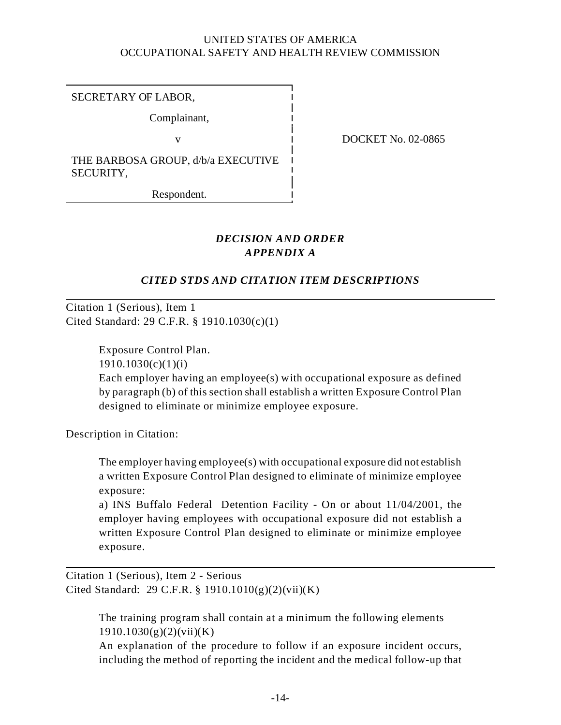# UNITED STATES OF AMERICA OCCUPATIONAL SAFETY AND HEALTH REVIEW COMMISSION

# SECRETARY OF LABOR,

Complainant,

THE BARBOSA GROUP, d/b/a EXECUTIVE SECURITY,

Respondent.

v DOCKET No. 02-0865

# *DECISION AND ORDER APPENDIX A*

# *CITED STDS AND CITATION ITEM DESCRIPTIONS*

Citation 1 (Serious), Item 1 Cited Standard: 29 C.F.R. § 1910.1030(c)(1)

> Exposure Control Plan.  $1910.1030(c)(1)(i)$ Each employer having an employee(s) with occupational exposure as defined by paragraph (b) of this section shall establish a written Exposure Control Plan designed to eliminate or minimize employee exposure.

Description in Citation:

The employer having employee(s) with occupational exposure did not establish a written Exposure Control Plan designed to eliminate of minimize employee exposure:

a) INS Buffalo Federal Detention Facility - On or about 11/04/2001, the employer having employees with occupational exposure did not establish a written Exposure Control Plan designed to eliminate or minimize employee exposure.

Citation 1 (Serious), Item 2 - Serious Cited Standard: 29 C.F.R. § 1910.1010(g)(2)(vii)(K)

> The training program shall contain at a minimum the following elements  $1910.1030(g)(2)(vii)(K)$

An explanation of the procedure to follow if an exposure incident occurs, including the method of reporting the incident and the medical follow-up that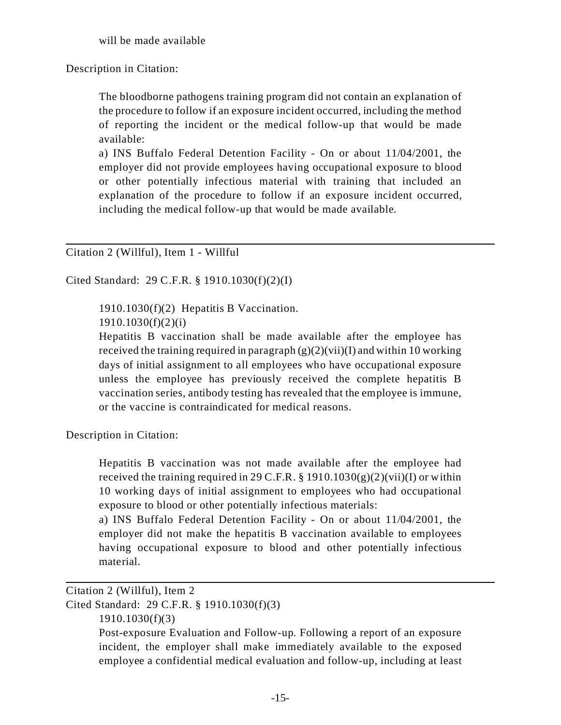will be made available

Description in Citation:

The bloodborne pathogens training program did not contain an explanation of the procedure to follow if an exposure incident occurred, including the method of reporting the incident or the medical follow-up that would be made available:

a) INS Buffalo Federal Detention Facility - On or about 11/04/2001, the employer did not provide employees having occupational exposure to blood or other potentially infectious material with training that included an explanation of the procedure to follow if an exposure incident occurred, including the medical follow-up that would be made available.

Citation 2 (Willful), Item 1 - Willful

Cited Standard: 29 C.F.R. § 1910.1030(f)(2)(I)

1910.1030(f)(2) Hepatitis B Vaccination.

1910.1030(f)(2)(i)

Hepatitis B vaccination shall be made available after the employee has received the training required in paragraph  $(g)(2)(vi)(I)$  and within 10 working days of initial assignment to all employees who have occupational exposure unless the employee has previously received the complete hepatitis B vaccination series, antibody testing has revealed that the employee is immune, or the vaccine is contraindicated for medical reasons.

Description in Citation:

Hepatitis B vaccination was not made available after the employee had received the training required in 29 C.F.R. § 1910.1030(g)(2)(vii)(I) or within 10 working days of initial assignment to employees who had occupational exposure to blood or other potentially infectious materials:

a) INS Buffalo Federal Detention Facility - On or about 11/04/2001, the employer did not make the hepatitis B vaccination available to employees having occupational exposure to blood and other potentially infectious material.

Citation 2 (Willful), Item 2

Cited Standard: 29 C.F.R. § 1910.1030(f)(3)

1910.1030(f)(3)

Post-exposure Evaluation and Follow-up. Following a report of an exposure incident, the employer shall make immediately available to the exposed employee a confidential medical evaluation and follow-up, including at least